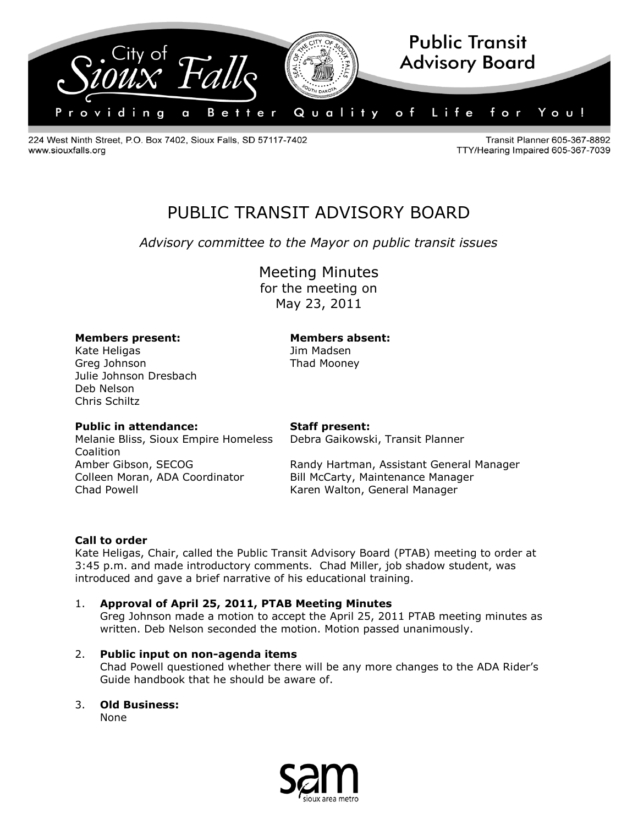

224 West Ninth Street, P.O. Box 7402, Sioux Falls, SD 57117-7402 www.siouxfalls.org

Transit Planner 605-367-8892 TTY/Hearing Impaired 605-367-7039

# PUBLIC TRANSIT ADVISORY BOARD

*Advisory committee to the Mayor on public transit issues*

Meeting Minutes

for the meeting on May 23, 2011

# **Members present: Members absent:**

Kate Heligas **Manual State Heligas** Jim Madsen Greg Johnson **Thad Mooney** Julie Johnson Dresbach Deb Nelson Chris Schiltz

# **Public in attendance: Staff present:**

Debra Gaikowski, Transit Planner

Melanie Bliss, Sioux Empire Homeless **Coalition** Colleen Moran, ADA Coordinator Bill McCarty, Maintenance Manager Chad Powell **Chad Powell** Chad Powell **Karen Walton**, General Manager

Amber Gibson, SECOG Randy Hartman, Assistant General Manager

#### **Call to order**

Kate Heligas, Chair, called the Public Transit Advisory Board (PTAB) meeting to order at 3:45 p.m. and made introductory comments. Chad Miller, job shadow student, was introduced and gave a brief narrative of his educational training.

# 1. **Approval of April 25, 2011, PTAB Meeting Minutes**

Greg Johnson made a motion to accept the April 25, 2011 PTAB meeting minutes as written. Deb Nelson seconded the motion. Motion passed unanimously.

#### 2. **Public input on non-agenda items**

Chad Powell questioned whether there will be any more changes to the ADA Rider's Guide handbook that he should be aware of.

# 3. **Old Business:**

None